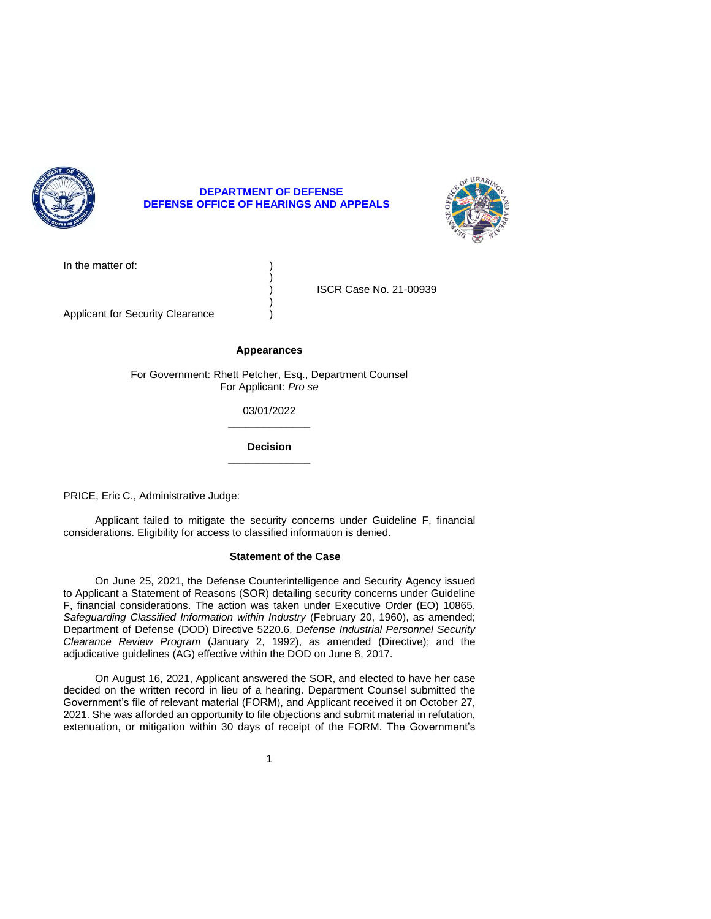

# **DEPARTMENT OF DEFENSE DEFENSE OFFICE OF HEARINGS AND APPEALS**



In the matter of:  $\qquad \qquad$ )

) ISCR Case No. 21-00939

Applicant for Security Clearance (a)

# **Appearances**

)

)

For Government: Rhett Petcher, Esq., Department Counsel For Applicant: *Pro se* 

> **\_\_\_\_\_\_\_\_\_\_\_\_\_\_**  03/01/2022

> **\_\_\_\_\_\_\_\_\_\_\_\_\_\_ Decision**

PRICE, Eric C., Administrative Judge:

 Applicant failed to mitigate the security concerns under Guideline F, financial considerations. Eligibility for access to classified information is denied.

## **Statement of the Case**

 On June 25, 2021, the Defense Counterintelligence and Security Agency issued to Applicant a Statement of Reasons (SOR) detailing security concerns under Guideline F, financial considerations. The action was taken under Executive Order (EO) 10865, Safeguarding Classified Information within Industry (February 20, 1960), as amended; Department of Defense (DOD) Directive 5220.6, *Defense Industrial Personnel Security Clearance Review Program* (January 2, 1992), as amended (Directive); and the adjudicative guidelines (AG) effective within the DOD on June 8, 2017.

 On August 16, 2021, Applicant answered the SOR, and elected to have her case decided on the written record in lieu of a hearing. Department Counsel submitted the 2021. She was afforded an opportunity to file objections and submit material in refutation, extenuation, or mitigation within 30 days of receipt of the FORM. The Government's Government's file of relevant material (FORM), and Applicant received it on October 27,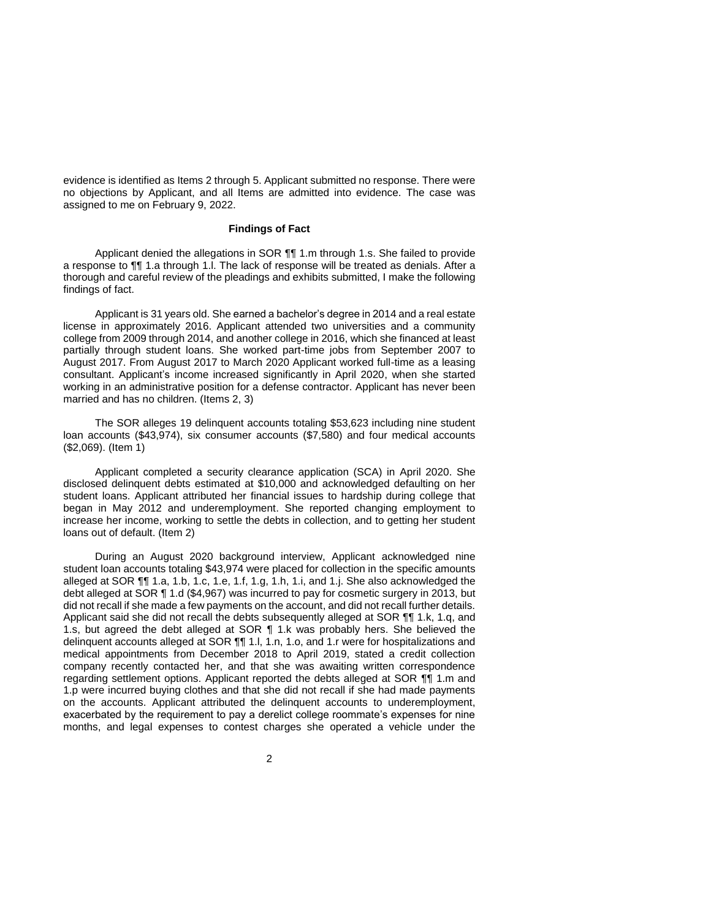evidence is identified as Items 2 through 5. Applicant submitted no response. There were no objections by Applicant, and all Items are admitted into evidence. The case was assigned to me on February 9, 2022.

# **Findings of Fact**

Applicant denied the allegations in SOR  $\P$ , 1.m through 1.s. She failed to provide a response to ¶¶ 1.a through 1.l. The lack of response will be treated as denials. After a thorough and careful review of the pleadings and exhibits submitted, I make the following findings of fact.

 Applicant is 31 years old. She earned a bachelor's degree in 2014 and a real estate license in approximately 2016. Applicant attended two universities and a community college from 2009 through 2014, and another college in 2016, which she financed at least partially through student loans. She worked part-time jobs from September 2007 to August 2017. From August 2017 to March 2020 Applicant worked full-time as a leasing consultant. Applicant's income increased significantly in April 2020, when she started working in an administrative position for a defense contractor. Applicant has never been married and has no children. (Items 2, 3)

 The SOR alleges 19 delinquent accounts totaling \$53,623 including nine student loan accounts (\$43,974), six consumer accounts (\$7,580) and four medical accounts (\$2,069). (Item 1)

 Applicant completed a security clearance application (SCA) in April 2020. She disclosed delinquent debts estimated at \$10,000 and acknowledged defaulting on her student loans. Applicant attributed her financial issues to hardship during college that began in May 2012 and underemployment. She reported changing employment to increase her income, working to settle the debts in collection, and to getting her student loans out of default. (Item 2)

During an August 2020 background interview, Applicant acknowledged nine student loan accounts totaling \$43,974 were placed for collection in the specific amounts alleged at SOR ¶¶ 1.a, 1.b, 1.c, 1.e, 1.f, 1.g, 1.h, 1.i, and 1.j. She also acknowledged the debt alleged at SOR ¶ 1.d (\$4,967) was incurred to pay for cosmetic surgery in 2013, but did not recall if she made a few payments on the account, and did not recall further details. Applicant said she did not recall the debts subsequently alleged at SOR ¶¶ 1.k, 1.q, and 1.s, but agreed the debt alleged at SOR ¶ 1.k was probably hers. She believed the delinquent accounts alleged at SOR ¶¶ 1.l, 1.n, 1.o, and 1.r were for hospitalizations and medical appointments from December 2018 to April 2019, stated a credit collection company recently contacted her, and that she was awaiting written correspondence regarding settlement options. Applicant reported the debts alleged at SOR ¶¶ 1.m and 1.p were incurred buying clothes and that she did not recall if she had made payments on the accounts. Applicant attributed the delinquent accounts to underemployment, exacerbated by the requirement to pay a derelict college roommate's expenses for nine months, and legal expenses to contest charges she operated a vehicle under the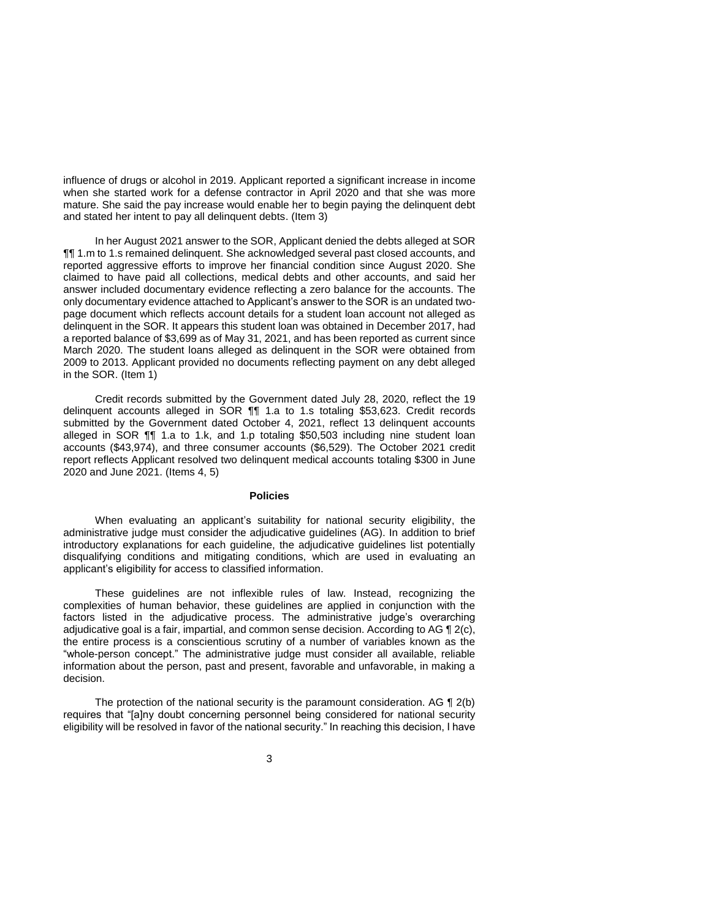influence of drugs or alcohol in 2019. Applicant reported a significant increase in income when she started work for a defense contractor in April 2020 and that she was more mature. She said the pay increase would enable her to begin paying the delinquent debt and stated her intent to pay all delinquent debts. (Item 3)

 In her August 2021 answer to the SOR, Applicant denied the debts alleged at SOR ¶¶ 1.m to 1.s remained delinquent. She acknowledged several past closed accounts, and reported aggressive efforts to improve her financial condition since August 2020. She claimed to have paid all collections, medical debts and other accounts, and said her answer included documentary evidence reflecting a zero balance for the accounts. The only documentary evidence attached to Applicant's answer to the SOR is an undated two- page document which reflects account details for a student loan account not alleged as delinquent in the SOR. It appears this student loan was obtained in December 2017, had a reported balance of \$3,699 as of May 31, 2021, and has been reported as current since March 2020. The student loans alleged as delinquent in the SOR were obtained from 2009 to 2013. Applicant provided no documents reflecting payment on any debt alleged in the SOR. (Item 1)

 Credit records submitted by the Government dated July 28, 2020, reflect the 19 delinquent accounts alleged in SOR ¶¶ 1.a to 1.s totaling \$53,623. Credit records submitted by the Government dated October 4, 2021, reflect 13 delinquent accounts alleged in SOR ¶¶ 1.a to 1.k, and 1.p totaling \$50,503 including nine student loan accounts (\$43,974), and three consumer accounts (\$6,529). The October 2021 credit report reflects Applicant resolved two delinquent medical accounts totaling \$300 in June 2020 and June 2021. (Items 4, 5)

## **Policies**

 When evaluating an applicant's suitability for national security eligibility, the administrative judge must consider the adjudicative guidelines (AG). In addition to brief introductory explanations for each guideline, the adjudicative guidelines list potentially disqualifying conditions and mitigating conditions, which are used in evaluating an applicant's eligibility for access to classified information.

 These guidelines are not inflexible rules of law. Instead, recognizing the complexities of human behavior, these guidelines are applied in conjunction with the factors listed in the adjudicative process. The administrative judge's overarching adjudicative goal is a fair, impartial, and common sense decision. According to AG  $\P$  2(c), the entire process is a conscientious scrutiny of a number of variables known as the "whole-person concept." The administrative judge must consider all available, reliable information about the person, past and present, favorable and unfavorable, in making a decision.

The protection of the national security is the paramount consideration. AG  $\P$  2(b) requires that "[a]ny doubt concerning personnel being considered for national security eligibility will be resolved in favor of the national security." In reaching this decision, I have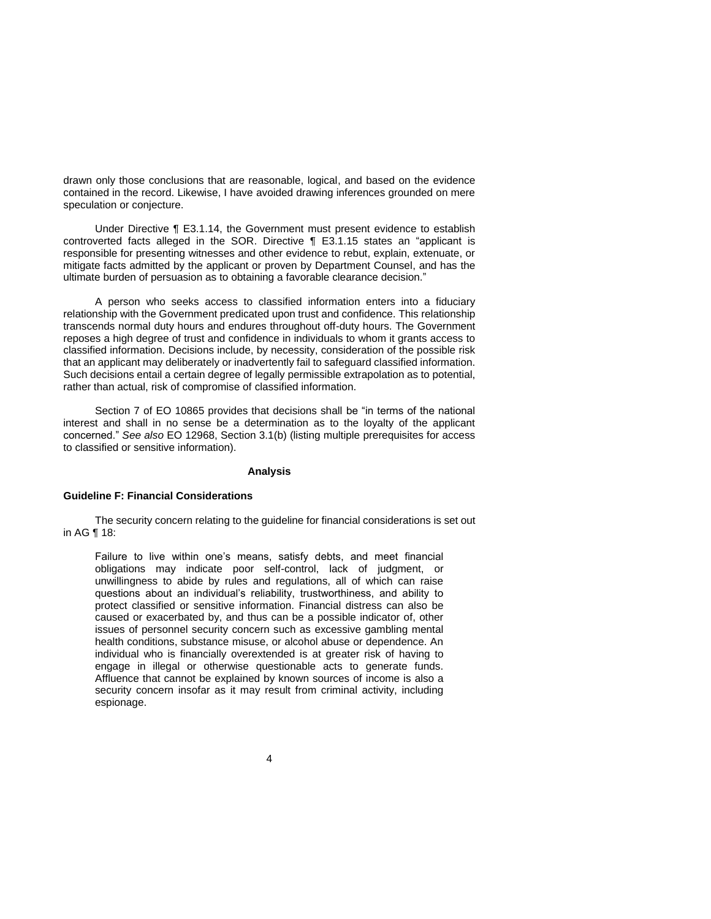drawn only those conclusions that are reasonable, logical, and based on the evidence contained in the record. Likewise, I have avoided drawing inferences grounded on mere speculation or conjecture.

 Under Directive ¶ E3.1.14, the Government must present evidence to establish controverted facts alleged in the SOR. Directive ¶ E3.1.15 states an "applicant is responsible for presenting witnesses and other evidence to rebut, explain, extenuate, or mitigate facts admitted by the applicant or proven by Department Counsel, and has the ultimate burden of persuasion as to obtaining a favorable clearance decision."

 A person who seeks access to classified information enters into a fiduciary relationship with the Government predicated upon trust and confidence. This relationship transcends normal duty hours and endures throughout off-duty hours. The Government reposes a high degree of trust and confidence in individuals to whom it grants access to classified information. Decisions include, by necessity, consideration of the possible risk that an applicant may deliberately or inadvertently fail to safeguard classified information. Such decisions entail a certain degree of legally permissible extrapolation as to potential, rather than actual, risk of compromise of classified information.

 Section 7 of EO 10865 provides that decisions shall be "in terms of the national interest and shall in no sense be a determination as to the loyalty of the applicant concerned." *See also* EO 12968, Section 3.1(b) (listing multiple prerequisites for access to classified or sensitive information).

#### **Analysis**

# **Guideline F: Financial Considerations**

 The security concern relating to the guideline for financial considerations is set out in AG ¶ 18:

Failure to live within one's means, satisfy debts, and meet financial obligations may indicate poor self-control, lack of judgment, or unwillingness to abide by rules and regulations, all of which can raise questions about an individual's reliability, trustworthiness, and ability to protect classified or sensitive information. Financial distress can also be caused or exacerbated by, and thus can be a possible indicator of, other issues of personnel security concern such as excessive gambling mental health conditions, substance misuse, or alcohol abuse or dependence. An individual who is financially overextended is at greater risk of having to engage in illegal or otherwise questionable acts to generate funds. Affluence that cannot be explained by known sources of income is also a security concern insofar as it may result from criminal activity, including espionage.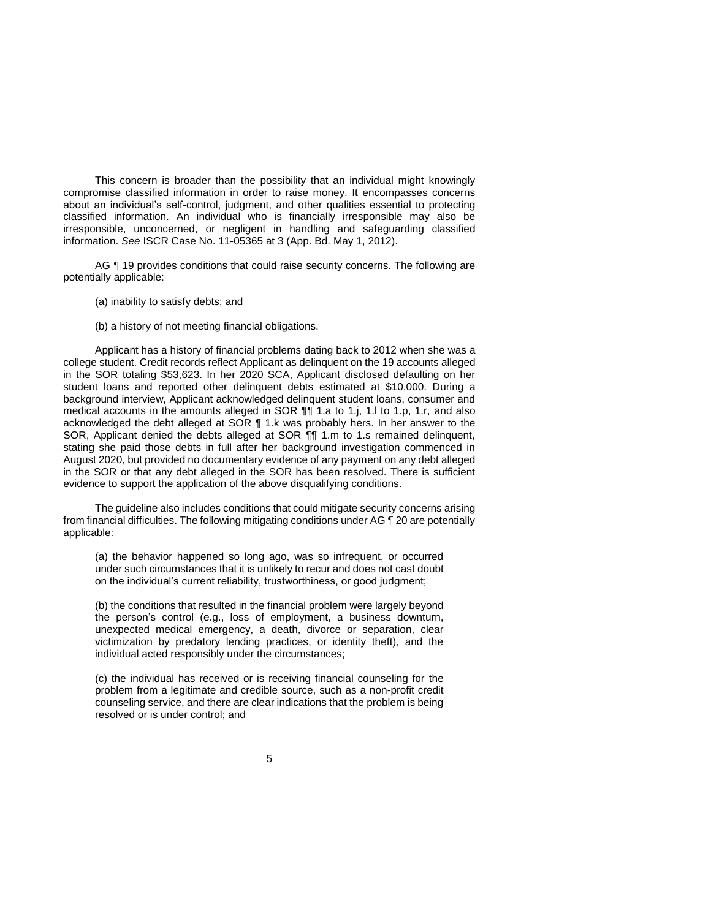This concern is broader than the possibility that an individual might knowingly compromise classified information in order to raise money. It encompasses concerns about an individual's self-control, judgment, and other qualities essential to protecting classified information. An individual who is financially irresponsible may also be irresponsible, unconcerned, or negligent in handling and safeguarding classified information. *See* ISCR Case No. 11-05365 at 3 (App. Bd. May 1, 2012).

AG  $\P$  19 provides conditions that could raise security concerns. The following are potentially applicable:

- (a) inability to satisfy debts; and
- (b) a history of not meeting financial obligations.

 Applicant has a history of financial problems dating back to 2012 when she was a college student. Credit records reflect Applicant as delinquent on the 19 accounts alleged in the SOR totaling \$53,623. In her 2020 SCA, Applicant disclosed defaulting on her student loans and reported other delinquent debts estimated at \$10,000. During a background interview, Applicant acknowledged delinquent student loans, consumer and medical accounts in the amounts alleged in SOR ¶¶ 1.a to 1.j, 1.l to 1.p, 1.r, and also stating she paid those debts in full after her background investigation commenced in August 2020, but provided no documentary evidence of any payment on any debt alleged in the SOR or that any debt alleged in the SOR has been resolved. There is sufficient acknowledged the debt alleged at SOR ¶ 1.k was probably hers. In her answer to the SOR, Applicant denied the debts alleged at SOR ¶¶ 1.m to 1.s remained delinquent, evidence to support the application of the above disqualifying conditions.

 The guideline also includes conditions that could mitigate security concerns arising from financial difficulties. The following mitigating conditions under AG  $\P$  20 are potentially applicable:

(a) the behavior happened so long ago, was so infrequent, or occurred under such circumstances that it is unlikely to recur and does not cast doubt on the individual's current reliability, trustworthiness, or good judgment;

(b) the conditions that resulted in the financial problem were largely beyond the person's control (e.g., loss of employment, a business downturn, unexpected medical emergency, a death, divorce or separation, clear victimization by predatory lending practices, or identity theft), and the individual acted responsibly under the circumstances;

(c) the individual has received or is receiving financial counseling for the problem from a legitimate and credible source, such as a non-profit credit counseling service, and there are clear indications that the problem is being resolved or is under control; and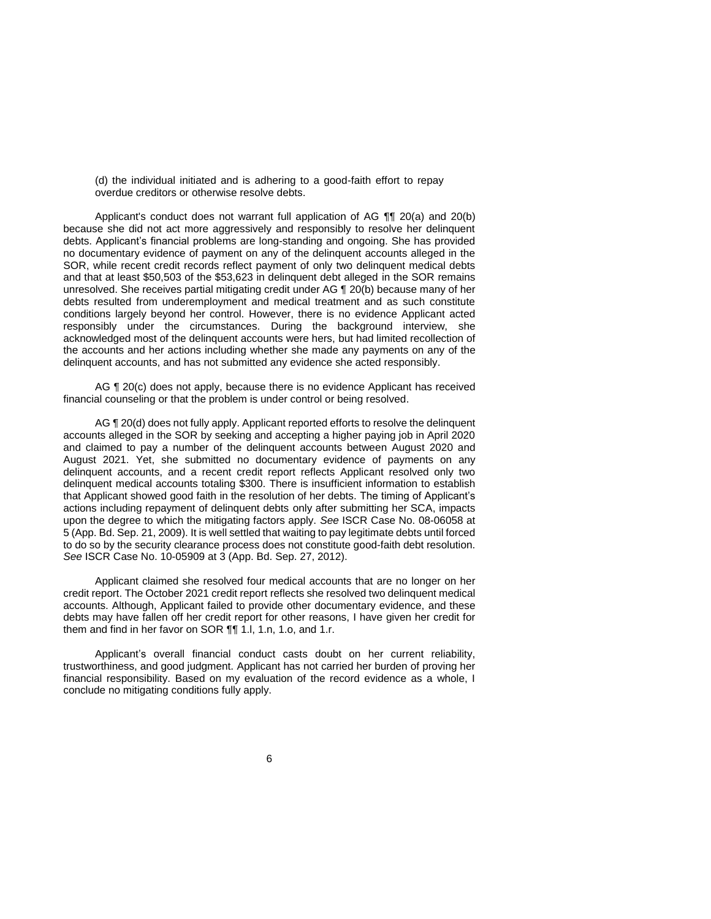(d) the individual initiated and is adhering to a good-faith effort to repay overdue creditors or otherwise resolve debts.

 Applicant's conduct does not warrant full application of AG ¶¶ 20(a) and 20(b) because she did not act more aggressively and responsibly to resolve her delinquent debts. Applicant's financial problems are long-standing and ongoing. She has provided no documentary evidence of payment on any of the delinquent accounts alleged in the SOR, while recent credit records reflect payment of only two delinquent medical debts and that at least \$50,503 of the \$53,623 in delinquent debt alleged in the SOR remains unresolved. She receives partial mitigating credit under AG ¶ 20(b) because many of her debts resulted from underemployment and medical treatment and as such constitute conditions largely beyond her control. However, there is no evidence Applicant acted responsibly under the circumstances. During the background interview, she acknowledged most of the delinquent accounts were hers, but had limited recollection of the accounts and her actions including whether she made any payments on any of the delinquent accounts, and has not submitted any evidence she acted responsibly.

AG ¶ 20(c) does not apply, because there is no evidence Applicant has received financial counseling or that the problem is under control or being resolved.

AG ¶ 20(d) does not fully apply. Applicant reported efforts to resolve the delinquent accounts alleged in the SOR by seeking and accepting a higher paying job in April 2020 and claimed to pay a number of the delinquent accounts between August 2020 and August 2021. Yet, she submitted no documentary evidence of payments on any delinquent accounts, and a recent credit report reflects Applicant resolved only two delinquent medical accounts totaling \$300. There is insufficient information to establish that Applicant showed good faith in the resolution of her debts. The timing of Applicant's actions including repayment of delinquent debts only after submitting her SCA, impacts upon the degree to which the mitigating factors apply. *See* ISCR Case No. 08-06058 at 5 (App. Bd. Sep. 21, 2009). It is well settled that waiting to pay legitimate debts until forced to do so by the security clearance process does not constitute good-faith debt resolution. *See* ISCR Case No. 10-05909 at 3 (App. Bd. Sep. 27, 2012).

 Applicant claimed she resolved four medical accounts that are no longer on her credit report. The October 2021 credit report reflects she resolved two delinquent medical accounts. Although, Applicant failed to provide other documentary evidence, and these debts may have fallen off her credit report for other reasons, I have given her credit for them and find in her favor on SOR ¶¶ 1.l, 1.n, 1.o, and 1.r.

 Applicant's overall financial conduct casts doubt on her current reliability, trustworthiness, and good judgment. Applicant has not carried her burden of proving her financial responsibility. Based on my evaluation of the record evidence as a whole, I conclude no mitigating conditions fully apply.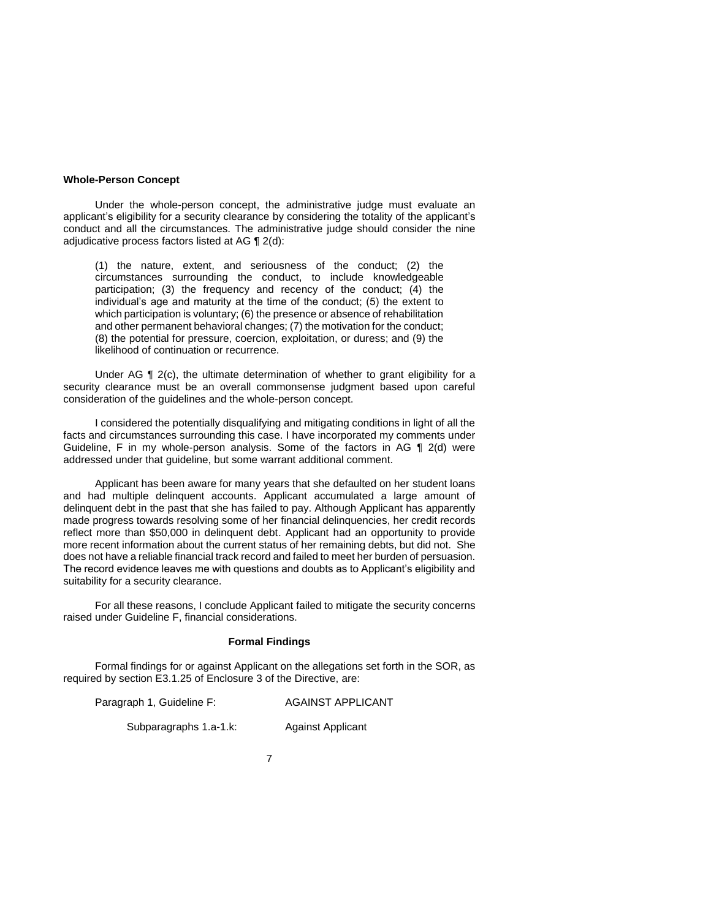#### **Whole-Person Concept**

 Under the whole-person concept, the administrative judge must evaluate an applicant's eligibility for a security clearance by considering the totality of the applicant's conduct and all the circumstances. The administrative judge should consider the nine adjudicative process factors listed at AG ¶ 2(d):

(1) the nature, extent, and seriousness of the conduct; (2) the circumstances surrounding the conduct, to include knowledgeable participation; (3) the frequency and recency of the conduct; (4) the individual's age and maturity at the time of the conduct; (5) the extent to which participation is voluntary; (6) the presence or absence of rehabilitation and other permanent behavioral changes; (7) the motivation for the conduct; (8) the potential for pressure, coercion, exploitation, or duress; and (9) the likelihood of continuation or recurrence.

 Under AG ¶ 2(c), the ultimate determination of whether to grant eligibility for a security clearance must be an overall commonsense judgment based upon careful consideration of the guidelines and the whole-person concept.

 I considered the potentially disqualifying and mitigating conditions in light of all the Guideline, F in my whole-person analysis. Some of the factors in AG ¶ 2(d) were facts and circumstances surrounding this case. I have incorporated my comments under addressed under that guideline, but some warrant additional comment.

 Applicant has been aware for many years that she defaulted on her student loans and had multiple delinquent accounts. Applicant accumulated a large amount of delinquent debt in the past that she has failed to pay. Although Applicant has apparently reflect more than \$50,000 in delinquent debt. Applicant had an opportunity to provide more recent information about the current status of her remaining debts, but did not. She does not have a reliable financial track record and failed to meet her burden of persuasion. The record evidence leaves me with questions and doubts as to Applicant's eligibility and made progress towards resolving some of her financial delinquencies, her credit records suitability for a security clearance.

 For all these reasons, I conclude Applicant failed to mitigate the security concerns raised under Guideline F, financial considerations.

## **Formal Findings**

 Formal findings for or against Applicant on the allegations set forth in the SOR, as required by section E3.1.25 of Enclosure 3 of the Directive, are:

Paragraph 1, Guideline F: AGAINST APPLICANT

Subparagraphs 1.a-1.k: Against Applicant